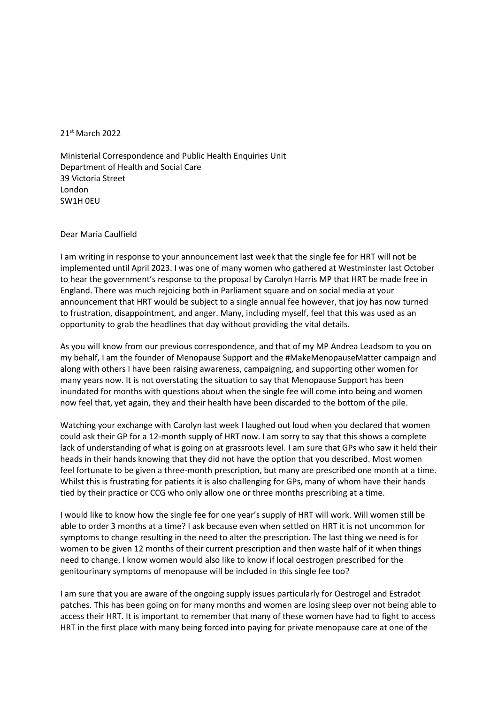## 21st March 2022

Ministerial Correspondence and Public Health Enquiries Unit Department of Health and Social Care 39 Victoria Street London SW1H 0EU

## Dear Maria Caulfield

I am writing in response to your announcement last week that the single fee for HRT will not be implemented until April 2023. I was one of many women who gathered at Westminster last October to hear the government's response to the proposal by Carolyn Harris MP that HRT be made free in England. There was much rejoicing both in Parliament square and on social media at your announcement that HRT would be subject to a single annual fee however, that joy has now turned to frustration, disappointment, and anger. Many, including myself, feel that this was used as an opportunity to grab the headlines that day without providing the vital details.

As you will know from our previous correspondence, and that of my MP Andrea Leadsom to you on my behalf, I am the founder of Menopause Support and the #MakeMenopauseMatter campaign and along with others I have been raising awareness, campaigning, and supporting other women for many years now. It is not overstating the situation to say that Menopause Support has been inundated for months with questions about when the single fee will come into being and women now feel that, yet again, they and their health have been discarded to the bottom of the pile.

Watching your exchange with Carolyn last week I laughed out loud when you declared that women could ask their GP for a 12-month supply of HRT now. I am sorry to say that this shows a complete lack of understanding of what is going on at grassroots level. I am sure that GPs who saw it held their heads in their hands knowing that they did not have the option that you described. Most women feel fortunate to be given a three-month prescription, but many are prescribed one month at a time. Whilst this is frustrating for patients it is also challenging for GPs, many of whom have their hands tied by their practice or CCG who only allow one or three months prescribing at a time.

I would like to know how the single fee for one year's supply of HRT will work. Will women still be able to order 3 months at a time? I ask because even when settled on HRT it is not uncommon for symptoms to change resulting in the need to alter the prescription. The last thing we need is for women to be given 12 months of their current prescription and then waste half of it when things need to change. I know women would also like to know if local oestrogen prescribed for the genitourinary symptoms of menopause will be included in this single fee too?

I am sure that you are aware of the ongoing supply issues particularly for Oestrogel and Estradot patches. This has been going on for many months and women are losing sleep over not being able to access their HRT. It is important to remember that many of these women have had to fight to access HRT in the first place with many being forced into paying for private menopause care at one of the